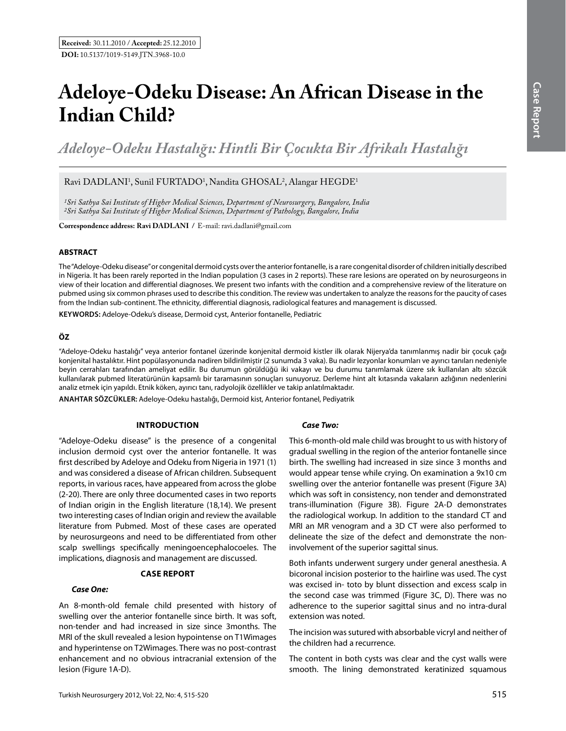# **Adeloye-Odeku Disease: An African Disease in the Indian Child?**

*Adeloye-Odeku Hastalığı: Hintli Bir Çocukta Bir Afrikalı Hastalığı* 

# Ravi DADLANI<sup>1</sup>, Sunil FURTADO<sup>1</sup>, Nandita GHOSAL<sup>2</sup>, Alangar HEGDE<sup>1</sup>

*1Sri Sathya Sai Institute of Higher Medical Sciences, Department of Neurosurgery, Bangalore, India 2Sri Sathya Sai Institute of Higher Medical Sciences, Department of Pathology, Bangalore, India*

**Correspondence address: Ravi DADLANI / E-mail: ravi.dadlani@gmail.com** 

# **ABSTRACT**

The "Adeloye-Odeku disease" or congenital dermoid cysts over the anterior fontanelle, is a rare congenital disorder of children initially described in Nigeria. It has been rarely reported in the Indian population (3 cases in 2 reports). These rare lesions are operated on by neurosurgeons in view of their location and differential diagnoses. We present two infants with the condition and a comprehensive review of the literature on pubmed using six common phrases used to describe this condition. The review was undertaken to analyze the reasons for the paucity of cases from the Indian sub-continent. The ethnicity, differential diagnosis, radiological features and management is discussed.

**Keywords:** Adeloye-Odeku's disease, Dermoid cyst, Anterior fontanelle, Pediatric

# **ÖZ**

"Adeloye-Odeku hastalığı" veya anterior fontanel üzerinde konjenital dermoid kistler ilk olarak Nijerya'da tanımlanmış nadir bir çocuk çağı konjenital hastalıktır. Hint popülasyonunda nadiren bildirilmiştir (2 sunumda 3 vaka). Bu nadir lezyonlar konumları ve ayırıcı tanıları nedeniyle beyin cerrahları tarafından ameliyat edilir. Bu durumun görüldüğü iki vakayı ve bu durumu tanımlamak üzere sık kullanılan altı sözcük kullanılarak pubmed literatürünün kapsamlı bir taramasının sonuçları sunuyoruz. Derleme hint alt kıtasında vakaların azlığının nedenlerini analiz etmek için yapıldı. Etnik köken, ayırıcı tanı, radyolojik özellikler ve takip anlatılmaktadır.

**ANAHTAR SÖZCÜKLER:** Adeloye-Odeku hastalığı, Dermoid kist, Anterior fontanel, Pediyatrik

# **Introduction**

"Adeloye-Odeku disease" is the presence of a congenital inclusion dermoid cyst over the anterior fontanelle. It was first described by Adeloye and Odeku from Nigeria in 1971 (1) and was considered a disease of African children. Subsequent reports, in various races, have appeared from across the globe (2-20). There are only three documented cases in two reports of Indian origin in the English literature (18,14). We present two interesting cases of Indian origin and review the available literature from Pubmed. Most of these cases are operated by neurosurgeons and need to be differentiated from other scalp swellings specifically meningoencephalocoeles. The implications, diagnosis and management are discussed.

# **case report**

#### *Case One:*

An 8-month-old female child presented with history of swelling over the anterior fontanelle since birth. It was soft, non-tender and had increased in size since 3months. The MRI of the skull revealed a lesion hypointense on T1Wimages and hyperintense on T2Wimages. There was no post-contrast enhancement and no obvious intracranial extension of the lesion (Figure 1A-D).

# *Case Two:*

This 6-month-old male child was brought to us with history of gradual swelling in the region of the anterior fontanelle since birth. The swelling had increased in size since 3 months and would appear tense while crying. On examination a 9x10 cm swelling over the anterior fontanelle was present (Figure 3A) which was soft in consistency, non tender and demonstrated trans-illumination (Figure 3B). Figure 2A-D demonstrates the radiological workup. In addition to the standard CT and MRI an MR venogram and a 3D CT were also performed to delineate the size of the defect and demonstrate the noninvolvement of the superior sagittal sinus.

Both infants underwent surgery under general anesthesia. A bicoronal incision posterior to the hairline was used. The cyst was excised in- toto by blunt dissection and excess scalp in the second case was trimmed (Figure 3C, D). There was no adherence to the superior sagittal sinus and no intra-dural extension was noted.

The incision was sutured with absorbable vicryl and neither of the children had a recurrence.

The content in both cysts was clear and the cyst walls were smooth. The lining demonstrated keratinized squamous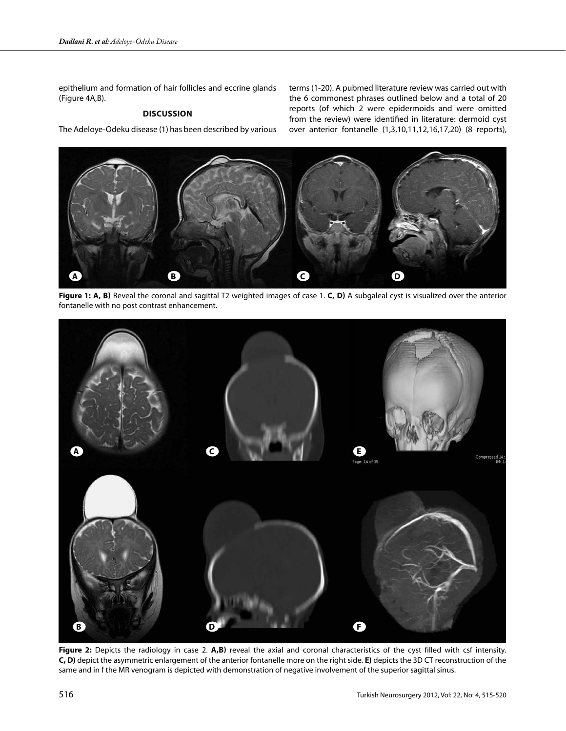epithelium and formation of hair follicles and eccrine glands (Figure 4A,B).

# **Discussion**

The Adeloye-Odeku disease (1) has been described by various

terms (1-20). A pubmed literature review was carried out with the 6 commonest phrases outlined below and a total of 20 reports (of which 2 were epidermoids and were omitted from the review) were identified in literature: dermoid cyst over anterior fontanelle (1,3,10,11,12,16,17,20) (8 reports),



Figure 1: A, B) Reveal the coronal and sagittal T2 weighted images of case 1. C, D) A subgaleal cyst is visualized over the anterior fontanelle with no post contrast enhancement.



Figure 2: Depicts the radiology in case 2. A,B) reveal the axial and coronal characteristics of the cyst filled with csf intensity. **C, D)** depict the asymmetric enlargement of the anterior fontanelle more on the right side. **E)** depicts the 3D CT reconstruction of the same and in f the MR venogram is depicted with demonstration of negative involvement of the superior sagittal sinus.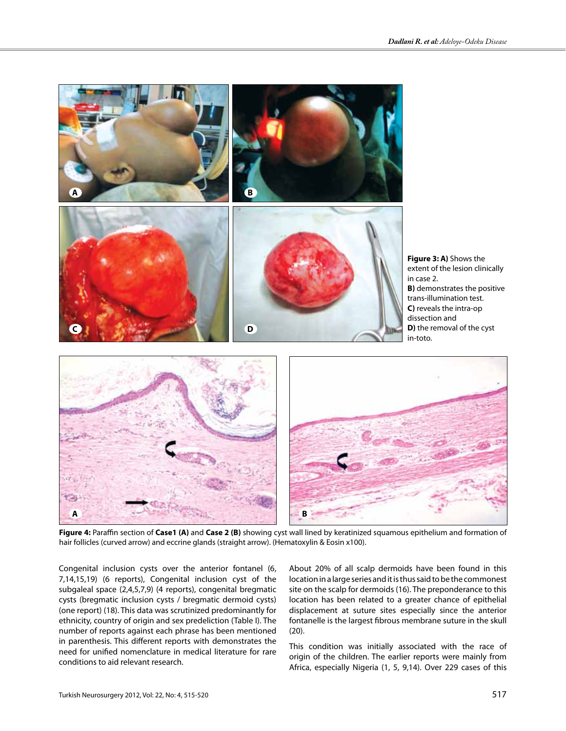

**Figure 4:** Paraffin section of **Case1 (a)** and **Case 2 (b)** showing cyst wall lined by keratinized squamous epithelium and formation of hair follicles (curved arrow) and eccrine glands (straight arrow). (Hematoxylin & Eosin x100).

Congenital inclusion cysts over the anterior fontanel (6, 7,14,15,19) (6 reports), Congenital inclusion cyst of the subgaleal space (2,4,5,7,9) (4 reports), congenital bregmatic cysts (bregmatic inclusion cysts / bregmatic dermoid cysts) (one report) (18). This data was scrutinized predominantly for ethnicity, country of origin and sex predeliction (Table I). The number of reports against each phrase has been mentioned in parenthesis. This different reports with demonstrates the need for unified nomenclature in medical literature for rare conditions to aid relevant research.

About 20% of all scalp dermoids have been found in this location in a large series and it is thus said to be the commonest site on the scalp for dermoids (16). The preponderance to this location has been related to a greater chance of epithelial displacement at suture sites especially since the anterior fontanelle is the largest fibrous membrane suture in the skull (20).

This condition was initially associated with the race of origin of the children. The earlier reports were mainly from Africa, especially Nigeria (1, 5, 9,14). Over 229 cases of this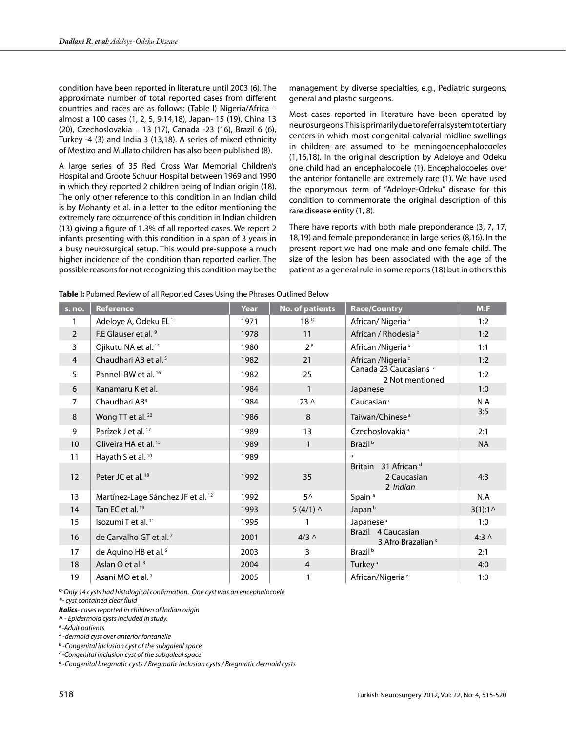condition have been reported in literature until 2003 (6). The approximate number of total reported cases from different countries and races are as follows: (Table I) Nigeria/Africa – almost a 100 cases (1, 2, 5, 9,14,18), Japan- 15 (19), China 13 (20), Czechoslovakia – 13 (17), Canada -23 (16), Brazil 6 (6), Turkey -4 (3) and India 3 (13,18). A series of mixed ethnicity of Mestizo and Mullato children has also been published (8).

A large series of 35 Red Cross War Memorial Children's Hospital and Groote Schuur Hospital between 1969 and 1990 in which they reported 2 children being of Indian origin (18). The only other reference to this condition in an Indian child is by Mohanty et al. in a letter to the editor mentioning the extremely rare occurrence of this condition in Indian children (13) giving a figure of 1.3% of all reported cases. We report 2 infants presenting with this condition in a span of 3 years in a busy neurosurgical setup. This would pre-suppose a much higher incidence of the condition than reported earlier. The possible reasons for not recognizing this condition may be the management by diverse specialties, e.g., Pediatric surgeons, general and plastic surgeons.

Most cases reported in literature have been operated by neurosurgeons. This is primarily due to referral system to tertiary centers in which most congenital calvarial midline swellings in children are assumed to be meningoencephalocoeles (1,16,18). In the original description by Adeloye and Odeku one child had an encephalocoele (1). Encephalocoeles over the anterior fontanelle are extremely rare (1). We have used the eponymous term of "Adeloye-Odeku" disease for this condition to commemorate the original description of this rare disease entity (1, 8).

There have reports with both male preponderance (3, 7, 17, 18,19) and female preponderance in large series (8,16). In the present report we had one male and one female child. The size of the lesion has been associated with the age of the patient as a general rule in some reports (18) but in others this

| s. no.         | <b>Reference</b>                              | Year | No. of patients | <b>Race/Country</b>                                                  | M: F              |
|----------------|-----------------------------------------------|------|-----------------|----------------------------------------------------------------------|-------------------|
| 1              | Adeloye A, Odeku EL <sup>1</sup>              | 1971 | $18^{\circ}$    | African/Nigeria <sup>a</sup>                                         | 1:2               |
| $\overline{2}$ | F.E Glauser et al. 9                          | 1978 | 11              | African / Rhodesia <sup>b</sup>                                      | 1:2               |
| 3              | Ojikutu NA et al. <sup>14</sup>               | 1980 | $2*$            | African /Nigeria <sup>b</sup>                                        | 1:1               |
| $\overline{4}$ | Chaudhari AB et al. <sup>5</sup>              | 1982 | 21              | African /Nigeria <sup>c</sup>                                        | 1:2               |
| 5              | Pannell BW et al. <sup>16</sup>               | 1982 | 25              | Canada 23 Caucasians <sup>a</sup><br>2 Not mentioned                 | 1:2               |
| 6              | Kanamaru K et al.                             | 1984 | $\mathbf{1}$    | Japanese                                                             | 1:0               |
| $\overline{7}$ | Chaudhari AB <sup>4</sup>                     | 1984 | 23 <sub>0</sub> | Caucasian <sup>c</sup>                                               | N.A               |
| 8              | Wong TT et al. <sup>20</sup>                  | 1986 | 8               | Taiwan/Chinese <sup>a</sup>                                          | 3:5               |
| 9              | Parízek J et al. <sup>17</sup>                | 1989 | 13              | Czechoslovakia <sup>a</sup>                                          | 2:1               |
| 10             | Oliveira HA et al. <sup>15</sup>              | 1989 | $\mathbf{1}$    | Brazil <sup>b</sup>                                                  | <b>NA</b>         |
| 11             | Hayath S et al. <sup>10</sup>                 | 1989 |                 | a                                                                    |                   |
| 12             | Peter JC et al. <sup>18</sup>                 | 1992 | 35              | 31 African <sup>d</sup><br><b>Britain</b><br>2 Caucasian<br>2 Indian | 4:3               |
| 13             | Martínez-Lage Sánchez JF et al. <sup>12</sup> | 1992 | $5^{\wedge}$    | Spain <sup>a</sup>                                                   | N.A               |
| 14             | Tan EC et al. <sup>19</sup>                   | 1993 | $5(4/1)$ ^      | Japan <sup>b</sup>                                                   | $3(1):1^{\wedge}$ |
| 15             | Isozumi T et al. <sup>11</sup>                | 1995 |                 | Japanese <sup>a</sup>                                                | 1:0               |
| 16             | de Carvalho GT et al. <sup>7</sup>            | 2001 | $4/3$ $\land$   | Brazil 4 Caucasian<br>3 Afro Brazalian c                             | $4:3 \wedge$      |
| 17             | de Aquino HB et al. <sup>6</sup>              | 2003 | 3               | Brazil <sup>b</sup>                                                  | 2:1               |
| 18             | Aslan O et al. <sup>3</sup>                   | 2004 | $\overline{4}$  | Turkey <sup>a</sup>                                                  | 4:0               |
| 19             | Asani MO et al. <sup>2</sup>                  | 2005 | 1               | African/Nigeria <sup>c</sup>                                         | 1:0               |

**Table I:** Pubmed Review of all Reported Cases Using the Phrases Outlined Below

*<sup>O</sup>- Only 14 cysts had histological confirmation. One cyst was an encephalocoele*

*\*- cyst contained clear fluid*

*Italics- cases reported in children of Indian origin*

*^ - Epidermoid cysts included in study.* 

*# -Adult patients*

*<sup>a</sup> -dermoid cyst over anterior fontanelle*

*<sup>b</sup> -Congenital inclusion cyst of the subgaleal space*

*<sup>c</sup> -Congenital inclusion cyst of the subgaleal space*

*<sup>d</sup> -Congenital bregmatic cysts / Bregmatic inclusion cysts / Bregmatic dermoid cysts*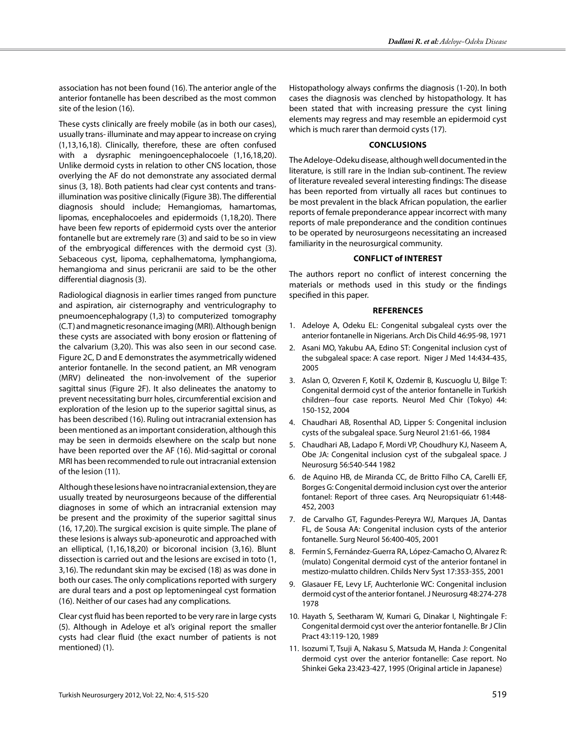association has not been found (16). The anterior angle of the anterior fontanelle has been described as the most common site of the lesion (16).

These cysts clinically are freely mobile (as in both our cases), usually trans- illuminate and may appear to increase on crying (1,13,16,18). Clinically, therefore, these are often confused with a dysraphic meningoencephalocoele (1,16,18,20). Unlike dermoid cysts in relation to other CNS location, those overlying the AF do not demonstrate any associated dermal sinus (3, 18). Both patients had clear cyst contents and transillumination was positive clinically (Figure 3B). The differential diagnosis should include; Hemangiomas, hamartomas, lipomas, encephalocoeles and epidermoids (1,18,20). There have been few reports of epidermoid cysts over the anterior fontanelle but are extremely rare (3) and said to be so in view of the embryogical differences with the dermoid cyst (3). Sebaceous cyst, lipoma, cephalhematoma, lymphangioma, hemangioma and sinus pericranii are said to be the other differential diagnosis (3).

Radiological diagnosis in earlier times ranged from puncture and aspiration, air cisternography and ventriculography to pneumoencephalograpy (1,3) to computerized tomography (C.T) and magnetic resonance imaging (MRI). Although benign these cysts are associated with bony erosion or flattening of the calvarium (3,20). This was also seen in our second case. Figure 2C, D and E demonstrates the asymmetrically widened anterior fontanelle. In the second patient, an MR venogram (MRV) delineated the non-involvement of the superior sagittal sinus (Figure 2F). It also delineates the anatomy to prevent necessitating burr holes, circumferential excision and exploration of the lesion up to the superior sagittal sinus, as has been described (16). Ruling out intracranial extension has been mentioned as an important consideration, although this may be seen in dermoids elsewhere on the scalp but none have been reported over the AF (16). Mid-sagittal or coronal MRI has been recommended to rule out intracranial extension of the lesion (11).

Although these lesions have no intracranial extension, they are usually treated by neurosurgeons because of the differential diagnoses in some of which an intracranial extension may be present and the proximity of the superior sagittal sinus (16, 17,20). The surgical excision is quite simple. The plane of these lesions is always sub-aponeurotic and approached with an elliptical, (1,16,18,20) or bicoronal incision (3,16). Blunt dissection is carried out and the lesions are excised in toto (1, 3,16). The redundant skin may be excised (18) as was done in both our cases. The only complications reported with surgery are dural tears and a post op leptomeningeal cyst formation (16). Neither of our cases had any complications.

Clear cyst fluid has been reported to be very rare in large cysts (5). Although in Adeloye et al's original report the smaller cysts had clear fluid (the exact number of patients is not mentioned) (1).

Histopathology always confirms the diagnosis (1-20). In both cases the diagnosis was clenched by histopathology. It has been stated that with increasing pressure the cyst lining elements may regress and may resemble an epidermoid cyst which is much rarer than dermoid cysts (17).

# **Conclusions**

The Adeloye-Odeku disease, although well documented in the literature, is still rare in the Indian sub-continent. The review of literature revealed several interesting findings: The disease has been reported from virtually all races but continues to be most prevalent in the black African population, the earlier reports of female preponderance appear incorrect with many reports of male preponderance and the condition continues to be operated by neurosurgeons necessitating an increased familiarity in the neurosurgical community.

#### **Conflict of Interest**

The authors report no conflict of interest concerning the materials or methods used in this study or the findings specified in this paper.

#### **References**

- 1. Adeloye A, Odeku EL: Congenital subgaleal cysts over the anterior fontanelle in Nigerians. Arch Dis Child 46:95-98, 1971
- 2. Asani MO, Yakubu AA, Edino ST: Congenital inclusion cyst of the subgaleal space: A case report. Niger J Med 14:434-435, 2005
- 3. Aslan O, Ozveren F, Kotil K, Ozdemir B, Kuscuoglu U, Bilge T: Congenital dermoid cyst of the anterior fontanelle in Turkish children--four case reports. Neurol Med Chir (Tokyo) 44: 150-152, 2004
- 4. Chaudhari AB, Rosenthal AD, Lipper S: Congenital inclusion cysts of the subgaleal space. Surg Neurol 21:61-66, 1984
- 5. Chaudhari AB, Ladapo F, Mordi VP, Choudhury KJ, Naseem A, Obe JA: Congenital inclusion cyst of the subgaleal space. J Neurosurg 56:540-544 1982
- 6. de Aquino HB, de Miranda CC, de Britto Filho CA, Carelli EF, Borges G: Congenital dermoid inclusion cyst over the anterior fontanel: Report of three cases. Arq Neuropsiquiatr 61:448- 452, 2003
- 7. de Carvalho GT, Fagundes-Pereyra WJ, Marques JA, Dantas FL, de Sousa AA: Congenital inclusion cysts of the anterior fontanelle. Surg Neurol 56:400-405, 2001
- 8. Fermín S, Fernández-Guerra RA, López-Camacho O, Alvarez R: (mulato) Congenital dermoid cyst of the anterior fontanel in mestizo-mulatto children. Childs Nerv Syst 17:353-355, 2001
- 9. Glasauer FE, Levy LF, Auchterlonie WC: Congenital inclusion dermoid cyst of the anterior fontanel. J Neurosurg 48:274-278 1978
- 10. Hayath S, Seetharam W, Kumari G, Dinakar I, Nightingale F: Congenital dermoid cyst over the anterior fontanelle. Br J Clin Pract 43:119-120, 1989
- 11. Isozumi T, Tsuji A, Nakasu S, Matsuda M, Handa J: Congenital dermoid cyst over the anterior fontanelle: Case report. No Shinkei Geka 23:423-427, 1995 (Original article in Japanese)